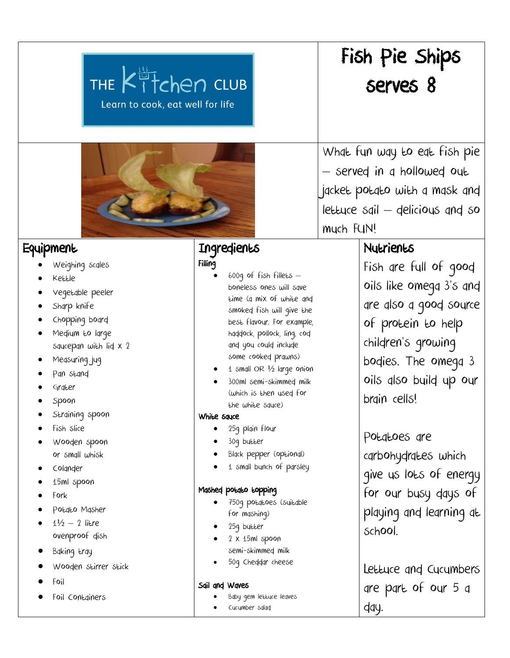| THE Kitchen CLUB<br>Learn to cook, eat well for life                                                                                                                                                                                                                                                                                                                                                |                                                                                                                                                                                                                                                                                                                                                                                                                                                                                                                                                                                                                     | Fish Pie Ships<br>serves 8                                                                                                                                                                                                                                                                                                                                          |
|-----------------------------------------------------------------------------------------------------------------------------------------------------------------------------------------------------------------------------------------------------------------------------------------------------------------------------------------------------------------------------------------------------|---------------------------------------------------------------------------------------------------------------------------------------------------------------------------------------------------------------------------------------------------------------------------------------------------------------------------------------------------------------------------------------------------------------------------------------------------------------------------------------------------------------------------------------------------------------------------------------------------------------------|---------------------------------------------------------------------------------------------------------------------------------------------------------------------------------------------------------------------------------------------------------------------------------------------------------------------------------------------------------------------|
|                                                                                                                                                                                                                                                                                                                                                                                                     |                                                                                                                                                                                                                                                                                                                                                                                                                                                                                                                                                                                                                     | What fun way to eat fish pie<br>- served in a hollowed out<br>jacket potato with a mask and<br>lettuce sgil - delicious and so<br>much FUN!                                                                                                                                                                                                                         |
| Equipment<br>Weighing scales<br>Kettle<br>Vegetable peeler<br>Sharp knife<br>Chopping board<br>Medium to large<br>squcepan with lid x 2<br>Measuring jug<br>Pan stand<br>Grater<br>Spoon<br>Straining spoon<br>Fish slice<br>Wooden spoon<br>or small whisk<br>Colander<br>15ml spoon<br>Fork<br>Potato Masher<br>$1\frac{1}{2} - 2$ litre<br>ovenproof dish<br>Baking tray<br>Wooden stirrer stick | Ingredients<br>Filling<br>$600q$ of fish fillets $-$<br>boneless ones will save<br>time (q mix of white and<br>smoked fish will give the<br>best flavour. For example,<br>haddock, pollock, ling, cod<br>and you could include<br>some cooked prawns)<br>1 small OR 1/2 large onion<br>300ml semi-skimmed milk<br>(which is then used for<br>the white squce)<br>White squce<br>25g plain flour<br>30g butter<br>Black pepper (optional)<br>1 small bunch of parsley<br>Mashed potato topping<br>750g potatoes (suitable<br>for mashing)<br>25g butter<br>2 x 15ml spoon<br>semi-skimmed milk<br>50g Cheddar cheese | <b>Nutrients</b><br>Fish are full of good<br>oils like omega 3's and<br>are also a good source<br>of protein to help<br>children's growing<br>bodies. The omega 3<br>oils also build up our<br>brain cells!<br>Potatoes are<br>carbohydrates which<br>give us lots of energy<br>for our busy days of<br>playing and learning at<br>School.<br>Lettuce and Cucumbers |

- Foil
- Foil Containers

Baby gem lettuce leaves

are part of our 5 a

day.

Cucumber salad

Sail and Waves